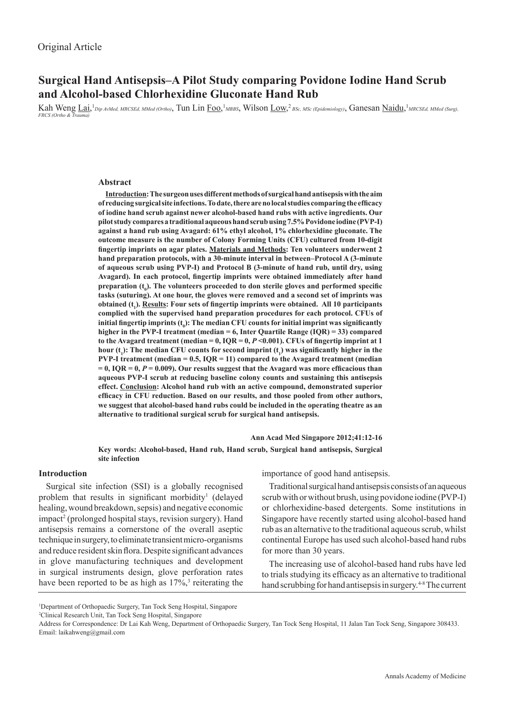# **Surgical Hand Antisepsis–A Pilot Study comparing Povidone Iodine Hand Scrub and Alcohol-based Chlorhexidine Gluconate Hand Rub**

Kah Weng Lai,<sup>1</sup> Dip AvMed, MRCSEd, MMed (Ortho), Tun Lin Foo,<sup>1</sup> MBBS, Wilson Low,<sup>2</sup> BSc, MSc (Epidemiology), Ganesan <u>Naidu</u>,<sup>1</sup> MRCSEd, MMed (Surg), *FRCS (Ortho & Trauma)*

### **Abstract**

**Introduction: The surgeon uses different methods of surgical hand antisepsis with the aim of reducing surgical site infections. To date, there are no local studies comparing the efficacy of iodine hand scrub against newer alcohol-based hand rubs with active ingredients. Our pilot study compares a traditional aqueous hand scrub using 7.5% Povidone iodine (PVP-I) against a hand rub using Avagard: 61% ethyl alcohol, 1% chlorhexidine gluconate. The outcome measure is the number of Colony Forming Units (CFU) cultured from 10-digit fingertip imprints on agar plates. Materials and Methods: Ten volunteers underwent 2 hand preparation protocols, with a 30-minute interval in between–Protocol A (3-minute of aqueous scrub using PVP-I) and Protocol B (3-minute of hand rub, until dry, using Avagard). In each protocol, fingertip imprints were obtained immediately after hand**  preparation (t<sub>0</sub>). The volunteers proceeded to don sterile gloves and performed specific **tasks (suturing). At one hour, the gloves were removed and a second set of imprints was**  obtained (t<sub>1</sub>). <u>Results</u>: Four sets of fingertip imprints were obtained. All 10 participants **complied with the supervised hand preparation procedures for each protocol. CFUs of initial fingertip imprints (t<sup>0</sup> ): The median CFU counts for initial imprint was significantly higher in the PVP-I treatment (median = 6, Inter Quartile Range (IQR) = 33) compared**  to the Avagard treatment (median  $= 0$ ,  $IOR = 0$ ,  $P \le 0.001$ ). CFUs of fingertip imprint at 1 hour (t<sub>1</sub>): The median CFU counts for second imprint (t<sub>1</sub>) was significantly higher in the **PVP-I treatment (median = 0.5, IQR = 11) compared to the Avagard treatment (median**   $= 0$ , IQR  $= 0$ ,  $P = 0.009$ ). Our results suggest that the Avagard was more efficacious than **aqueous PVP-I scrub at reducing baseline colony counts and sustaining this antisepsis effect. Conclusion: Alcohol hand rub with an active compound, demonstrated superior efficacy in CFU reduction. Based on our results, and those pooled from other authors, we suggest that alcohol-based hand rubs could be included in the operating theatre as an alternative to traditional surgical scrub for surgical hand antisepsis.**

**Ann Acad Med Singapore 2012;41:12-16**

**Key words: Alcohol-based, Hand rub, Hand scrub, Surgical hand antisepsis, Surgical site infection**

### **Introduction**

Surgical site infection (SSI) is a globally recognised problem that results in significant morbidity<sup>1</sup> (delayed healing, wound breakdown, sepsis) and negative economic impact<sup>2</sup> (prolonged hospital stays, revision surgery). Hand antisepsis remains a cornerstone of the overall aseptic technique in surgery, to eliminate transient micro-organisms and reduce resident skin flora. Despite significant advances in glove manufacturing techniques and development in surgical instruments design, glove perforation rates have been reported to be as high as  $17\%,$ <sup>3</sup> reiterating the importance of good hand antisepsis.

Traditional surgical hand antisepsis consists of an aqueous scrub with or without brush, using povidone iodine (PVP-I) or chlorhexidine-based detergents. Some institutions in Singapore have recently started using alcohol-based hand rub as an alternative to the traditional aqueous scrub, whilst continental Europe has used such alcohol-based hand rubs for more than 30 years.

The increasing use of alcohol-based hand rubs have led to trials studying its efficacy as an alternative to traditional hand scrubbing for hand antisepsis in surgery.<sup>4-8</sup> The current

2 Clinical Research Unit, Tan Tock Seng Hospital, Singapore

<sup>1</sup> Department of Orthopaedic Surgery, Tan Tock Seng Hospital, Singapore

Address for Correspondence: Dr Lai Kah Weng, Department of Orthopaedic Surgery, Tan Tock Seng Hospital, 11 Jalan Tan Tock Seng, Singapore 308433. Email: laikahweng@gmail.com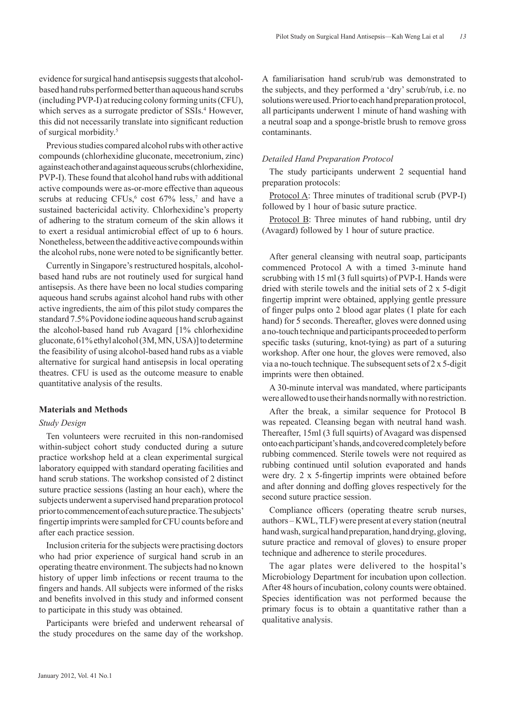evidence for surgical hand antisepsis suggests that alcoholbased hand rubs performed better than aqueous hand scrubs (including PVP-I) at reducing colony forming units (CFU), which serves as a surrogate predictor of SSIs.<sup>4</sup> However, this did not necessarily translate into significant reduction of surgical morbidity.5

Previous studies compared alcohol rubs with other active compounds (chlorhexidine gluconate, mecetronium, zinc) against each other and against aqueous scrubs (chlorhexidine, PVP-I). These found that alcohol hand rubs with additional active compounds were as-or-more effective than aqueous scrubs at reducing CFUs,<sup>6</sup> cost  $67\%$  less,<sup>7</sup> and have a sustained bactericidal activity. Chlorhexidine's property of adhering to the stratum corneum of the skin allows it to exert a residual antimicrobial effect of up to 6 hours. Nonetheless, between the additive active compounds within the alcohol rubs, none were noted to be significantly better.

Currently in Singapore's restructured hospitals, alcoholbased hand rubs are not routinely used for surgical hand antisepsis. As there have been no local studies comparing aqueous hand scrubs against alcohol hand rubs with other active ingredients, the aim of this pilot study compares the standard 7.5% Povidone iodine aqueous hand scrub against the alcohol-based hand rub Avagard [1% chlorhexidine gluconate, 61% ethyl alcohol (3M, MN, USA)] to determine the feasibility of using alcohol-based hand rubs as a viable alternative for surgical hand antisepsis in local operating theatres. CFU is used as the outcome measure to enable quantitative analysis of the results.

### **Materials and Methods**

### *Study Design*

Ten volunteers were recruited in this non-randomised within-subject cohort study conducted during a suture practice workshop held at a clean experimental surgical laboratory equipped with standard operating facilities and hand scrub stations. The workshop consisted of 2 distinct suture practice sessions (lasting an hour each), where the subjects underwent a supervised hand preparation protocol prior to commencement of each suture practice. The subjects' fingertip imprints were sampled for CFU counts before and after each practice session.

Inclusion criteria for the subjects were practising doctors who had prior experience of surgical hand scrub in an operating theatre environment. The subjects had no known history of upper limb infections or recent trauma to the fingers and hands. All subjects were informed of the risks and benefits involved in this study and informed consent to participate in this study was obtained.

Participants were briefed and underwent rehearsal of the study procedures on the same day of the workshop.

A familiarisation hand scrub/rub was demonstrated to the subjects, and they performed a 'dry' scrub/rub, i.e. no solutions were used. Prior to each hand preparation protocol, all participants underwent 1 minute of hand washing with a neutral soap and a sponge-bristle brush to remove gross contaminants.

### *Detailed Hand Preparation Protocol*

The study participants underwent 2 sequential hand preparation protocols:

Protocol A: Three minutes of traditional scrub (PVP-I) followed by 1 hour of basic suture practice.

Protocol B: Three minutes of hand rubbing, until dry (Avagard) followed by 1 hour of suture practice.

After general cleansing with neutral soap, participants commenced Protocol A with a timed 3-minute hand scrubbing with 15 ml (3 full squirts) of PVP-I. Hands were dried with sterile towels and the initial sets of 2 x 5-digit fingertip imprint were obtained, applying gentle pressure of finger pulps onto 2 blood agar plates (1 plate for each hand) for 5 seconds. Thereafter, gloves were donned using a no-touch technique and participants proceeded to perform specific tasks (suturing, knot-tying) as part of a suturing workshop. After one hour, the gloves were removed, also via a no-touch technique. The subsequent sets of 2 x 5-digit imprints were then obtained.

A 30-minute interval was mandated, where participants were allowed to use their hands normally with no restriction.

After the break, a similar sequence for Protocol B was repeated. Cleansing began with neutral hand wash. Thereafter, 15ml (3 full squirts) of Avagard was dispensed onto each participant's hands, and covered completely before rubbing commenced. Sterile towels were not required as rubbing continued until solution evaporated and hands were dry. 2 x 5-fingertip imprints were obtained before and after donning and doffing gloves respectively for the second suture practice session.

Compliance officers (operating theatre scrub nurses, authors – KWL, TLF) were present at every station (neutral hand wash, surgical hand preparation, hand drying, gloving, suture practice and removal of gloves) to ensure proper technique and adherence to sterile procedures.

The agar plates were delivered to the hospital's Microbiology Department for incubation upon collection. After 48 hours of incubation, colony counts were obtained. Species identification was not performed because the primary focus is to obtain a quantitative rather than a qualitative analysis.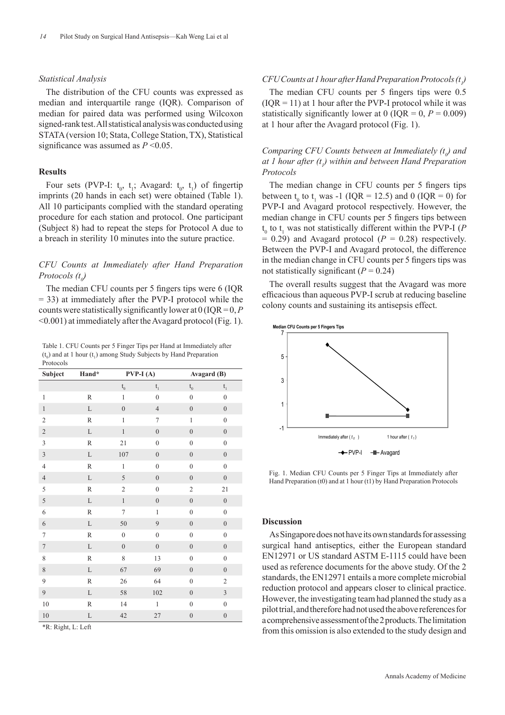## *Statistical Analysis*

The distribution of the CFU counts was expressed as median and interquartile range (IQR). Comparison of median for paired data was performed using Wilcoxon signed-rank test. All statistical analysis was conducted using STATA (version 10; Stata, College Station, TX), Statistical significance was assumed as *P* <0.05.

## **Results**

Four sets (PVP-I:  $t_0$ ,  $t_1$ ; Avagard:  $t_0$ ,  $t_1$ ) of fingertip imprints (20 hands in each set) were obtained (Table 1). All 10 participants complied with the standard operating procedure for each station and protocol. One participant (Subject 8) had to repeat the steps for Protocol A due to a breach in sterility 10 minutes into the suture practice.

## *CFU Counts at Immediately after Hand Preparation Protocols* (t<sub>0</sub>)

The median CFU counts per 5 fingers tips were 6 (IQR = 33) at immediately after the PVP-I protocol while the counts were statistically significantly lower at 0 (IQR = 0, *P* <0.001) at immediately after the Avagard protocol (Fig. 1).

Table 1. CFU Counts per 5 Finger Tips per Hand at Immediately after  $(t_0)$  and at 1 hour  $(t_1)$  among Study Subjects by Hand Preparation Protocols

| Subject                 | Hand*        | $PVP-I(A)$               |                  | Avagard (B)             |                                     |
|-------------------------|--------------|--------------------------|------------------|-------------------------|-------------------------------------|
|                         |              | $\mathfrak{t}_{_{\!0}}$  | $t_{1}$          | $\mathfrak{t}_{_{\!0}}$ | $\mathbf{t}_{\scriptscriptstyle 1}$ |
| $\mathbf{1}$            | $\mathbb R$  | $\mathbf{1}$             | $\boldsymbol{0}$ | $\mathbf{0}$            | $\boldsymbol{0}$                    |
| $\,1\,$                 | $\mathbf L$  | $\overline{0}$           | $\overline{4}$   | $\boldsymbol{0}$        | $\boldsymbol{0}$                    |
| $\overline{c}$          | $\mathbb R$  | $\mathbf{1}$             | $\boldsymbol{7}$ | $\mathbf{1}$            | $\boldsymbol{0}$                    |
| $\overline{c}$          | $\mathbf L$  | $\mathbf{1}$             | $\boldsymbol{0}$ | $\boldsymbol{0}$        | $\boldsymbol{0}$                    |
| $\overline{3}$          | $\mathbb R$  | 21                       | $\boldsymbol{0}$ | $\boldsymbol{0}$        | $\boldsymbol{0}$                    |
| $\overline{\mathbf{3}}$ | $\mathbf L$  | 107                      | $\boldsymbol{0}$ | $\boldsymbol{0}$        | $\boldsymbol{0}$                    |
| $\overline{4}$          | $\, {\bf R}$ | $\mathbf{1}$             | $\boldsymbol{0}$ | $\boldsymbol{0}$        | $\boldsymbol{0}$                    |
| $\sqrt{4}$              | $\mathbf L$  | 5                        | $\boldsymbol{0}$ | $\boldsymbol{0}$        | $\boldsymbol{0}$                    |
| 5                       | $\, {\bf R}$ | $\mathfrak{2}$           | $\boldsymbol{0}$ | $\mathfrak{2}$          | 21                                  |
| 5                       | $\mathbf L$  | $\,1$                    | $\boldsymbol{0}$ | $\boldsymbol{0}$        | $\boldsymbol{0}$                    |
| $\sqrt{6}$              | $\mathbb R$  | $\overline{\mathcal{I}}$ | $\mathbf{1}$     | $\boldsymbol{0}$        | $\boldsymbol{0}$                    |
| $\sqrt{6}$              | $\mathbf L$  | 50                       | 9                | $\boldsymbol{0}$        | $\boldsymbol{0}$                    |
| $\tau$                  | $\mathbb R$  | $\boldsymbol{0}$         | $\overline{0}$   | $\boldsymbol{0}$        | $\boldsymbol{0}$                    |
| $\sqrt{ }$              | $\mathbf L$  | $\overline{0}$           | $\boldsymbol{0}$ | $\boldsymbol{0}$        | $\mathbf{0}$                        |
| 8                       | $\, {\bf R}$ | 8                        | 13               | $\boldsymbol{0}$        | $\boldsymbol{0}$                    |
| 8                       | $\mathbf L$  | 67                       | 69               | $\boldsymbol{0}$        | $\boldsymbol{0}$                    |
| 9                       | $\, {\bf R}$ | 26                       | 64               | $\boldsymbol{0}$        | $\sqrt{2}$                          |
| $\boldsymbol{9}$        | $\mathbf L$  | 58                       | 102              | $\boldsymbol{0}$        | $\sqrt{3}$                          |
| $10\,$                  | R            | 14                       | $\mathbf{1}$     | $\boldsymbol{0}$        | $\boldsymbol{0}$                    |
| $10\,$                  | $\mathbf L$  | 42                       | 27               | $\boldsymbol{0}$        | $\boldsymbol{0}$                    |

\*R: Right, L: Left

## $CFU$  Counts at 1 hour after Hand Preparation Protocols  $(t<sub>i</sub>)$

The median CFU counts per 5 fingers tips were 0.5  $( IQR = 11)$  at 1 hour after the PVP-I protocol while it was statistically significantly lower at 0 ( $IQR = 0$ ,  $P = 0.009$ ) at 1 hour after the Avagard protocol (Fig. 1).

## *Comparing CFU Counts between at Immediately*  $(t_0)$  *and at 1 hour after (t<sub>1</sub>) within and between Hand Preparation Protocols*

The median change in CFU counts per 5 fingers tips between  $t_0$  to  $t_1$  was -1 (IQR = 12.5) and 0 (IQR = 0) for PVP-I and Avagard protocol respectively. However, the median change in CFU counts per 5 fingers tips between  $t_0$  to  $t_1$  was not statistically different within the PVP-I (*P*  $= 0.29$ ) and Avagard protocol ( $P = 0.28$ ) respectively. Between the PVP-I and Avagard protocol, the difference in the median change in CFU counts per 5 fingers tips was not statistically significant  $(P = 0.24)$ 

The overall results suggest that the Avagard was more efficacious than aqueous PVP-I scrub at reducing baseline colony counts and sustaining its antisepsis effect.



Fig. 1. Median CFU Counts per 5 Finger Tips at Immediately after Hand Preparation (t0) and at 1 hour (t1) by Hand Preparation Protocols

### **Discussion**

As Singapore does not have its own standards for assessing surgical hand antiseptics, either the European standard EN12971 or US standard ASTM E-1115 could have been used as reference documents for the above study. Of the 2 standards, the EN12971 entails a more complete microbial reduction protocol and appears closer to clinical practice. However, the investigating team had planned the study as a pilot trial, and therefore had not used the above references for a comprehensive assessment of the 2 products. The limitation from this omission is also extended to the study design and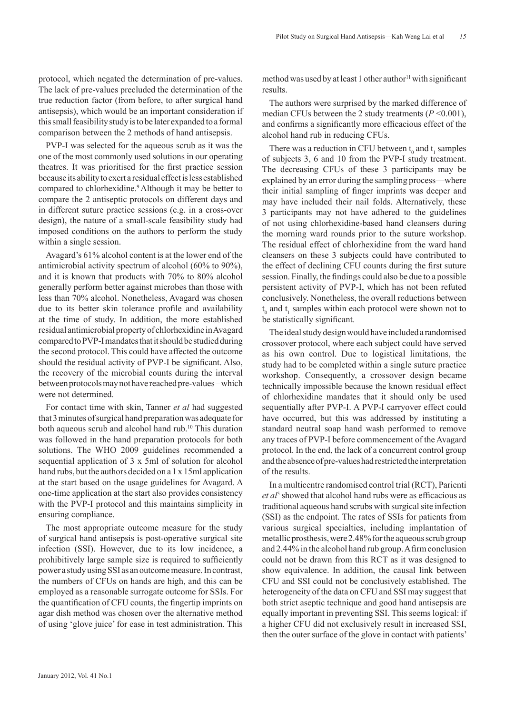protocol, which negated the determination of pre-values. The lack of pre-values precluded the determination of the true reduction factor (from before, to after surgical hand antisepsis), which would be an important consideration if this small feasibility study is to be later expanded to a formal comparison between the 2 methods of hand antisepsis.

PVP-I was selected for the aqueous scrub as it was the one of the most commonly used solutions in our operating theatres. It was prioritised for the first practice session because its ability to exert a residual effect is less established compared to chlorhexidine.9 Although it may be better to compare the 2 antiseptic protocols on different days and in different suture practice sessions (e.g. in a cross-over design), the nature of a small-scale feasibility study had imposed conditions on the authors to perform the study within a single session.

Avagard's 61% alcohol content is at the lower end of the antimicrobial activity spectrum of alcohol (60% to 90%), and it is known that products with 70% to 80% alcohol generally perform better against microbes than those with less than 70% alcohol. Nonetheless, Avagard was chosen due to its better skin tolerance profile and availability at the time of study. In addition, the more established residual antimicrobial property of chlorhexidine in Avagard compared to PVP-I mandates that it should be studied during the second protocol. This could have affected the outcome should the residual activity of PVP-I be significant. Also, the recovery of the microbial counts during the interval between protocols may not have reached pre-values – which were not determined.

For contact time with skin, Tanner *et al* had suggested that 3 minutes of surgical hand preparation was adequate for both aqueous scrub and alcohol hand rub.<sup>10</sup> This duration was followed in the hand preparation protocols for both solutions. The WHO 2009 guidelines recommended a sequential application of 3 x 5ml of solution for alcohol hand rubs, but the authors decided on a 1 x 15ml application at the start based on the usage guidelines for Avagard. A one-time application at the start also provides consistency with the PVP-I protocol and this maintains simplicity in ensuring compliance.

The most appropriate outcome measure for the study of surgical hand antisepsis is post-operative surgical site infection (SSI). However, due to its low incidence, a prohibitively large sample size is required to sufficiently power a study using SSI as an outcome measure. In contrast, the numbers of CFUs on hands are high, and this can be employed as a reasonable surrogate outcome for SSIs. For the quantification of CFU counts, the fingertip imprints on agar dish method was chosen over the alternative method of using 'glove juice' for ease in test administration. This

method was used by at least 1 other author $\frac{11}{11}$  with significant results.

The authors were surprised by the marked difference of median CFUs between the 2 study treatments  $(P \le 0.001)$ , and confirms a significantly more efficacious effect of the alcohol hand rub in reducing CFUs.

There was a reduction in CFU between  $t_0$  and  $t_1$  samples of subjects 3, 6 and 10 from the PVP-I study treatment. The decreasing CFUs of these 3 participants may be explained by an error during the sampling process—where their initial sampling of finger imprints was deeper and may have included their nail folds. Alternatively, these 3 participants may not have adhered to the guidelines of not using chlorhexidine-based hand cleansers during the morning ward rounds prior to the suture workshop. The residual effect of chlorhexidine from the ward hand cleansers on these 3 subjects could have contributed to the effect of declining CFU counts during the first suture session. Finally, the findings could also be due to a possible persistent activity of PVP-I, which has not been refuted conclusively. Nonetheless, the overall reductions between  $t_0$  and  $t_1$  samples within each protocol were shown not to be statistically significant.

The ideal study design would have included a randomised crossover protocol, where each subject could have served as his own control. Due to logistical limitations, the study had to be completed within a single suture practice workshop. Consequently, a crossover design became technically impossible because the known residual effect of chlorhexidine mandates that it should only be used sequentially after PVP-I. A PVP-I carryover effect could have occurred, but this was addressed by instituting a standard neutral soap hand wash performed to remove any traces of PVP-I before commencement of the Avagard protocol. In the end, the lack of a concurrent control group and the absence of pre-values had restricted the interpretation of the results.

In a multicentre randomised control trial (RCT), Parienti et al<sup>5</sup> showed that alcohol hand rubs were as efficacious as traditional aqueous hand scrubs with surgical site infection (SSI) as the endpoint. The rates of SSIs for patients from various surgical specialties, including implantation of metallic prosthesis, were 2.48% for the aqueous scrub group and 2.44% in the alcohol hand rub group. A firm conclusion could not be drawn from this RCT as it was designed to show equivalence. In addition, the causal link between CFU and SSI could not be conclusively established. The heterogeneity of the data on CFU and SSI may suggest that both strict aseptic technique and good hand antisepsis are equally important in preventing SSI. This seems logical: if a higher CFU did not exclusively result in increased SSI, then the outer surface of the glove in contact with patients'